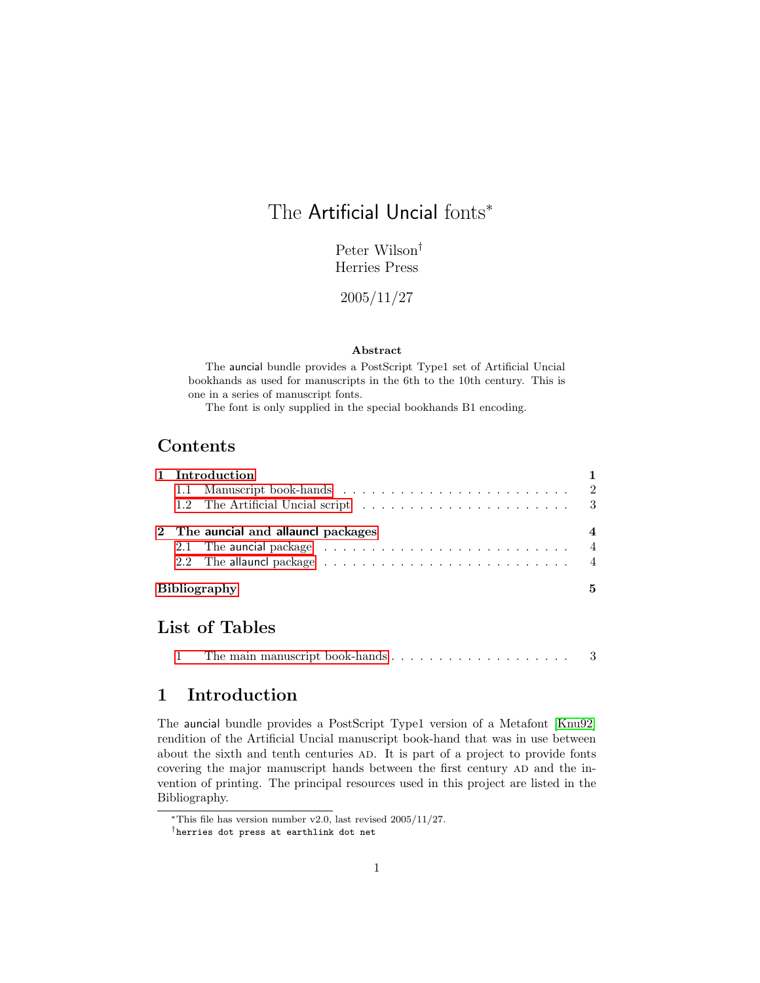# The Artificial Uncial fonts<sup>\*</sup>

Peter Wilson† Herries Press

2005/11/27

#### Abstract

The auncial bundle provides a PostScript Type1 set of Artificial Uncial bookhands as used for manuscripts in the 6th to the 10th century. This is one in a series of manuscript fonts.

The font is only supplied in the special bookhands B1 encoding.

## Contents

| 1 Introduction                      |                                                                                        |  |  |  |  |  |  |  |  |                  |  |  |  |  |  |   |
|-------------------------------------|----------------------------------------------------------------------------------------|--|--|--|--|--|--|--|--|------------------|--|--|--|--|--|---|
|                                     |                                                                                        |  |  |  |  |  |  |  |  |                  |  |  |  |  |  |   |
|                                     |                                                                                        |  |  |  |  |  |  |  |  |                  |  |  |  |  |  |   |
| 2 The auncial and allauncl packages |                                                                                        |  |  |  |  |  |  |  |  | $\boldsymbol{4}$ |  |  |  |  |  |   |
|                                     |                                                                                        |  |  |  |  |  |  |  |  |                  |  |  |  |  |  |   |
|                                     | 2.2 The allauncl package $\dots \dots \dots \dots \dots \dots \dots \dots \dots \dots$ |  |  |  |  |  |  |  |  |                  |  |  |  |  |  |   |
|                                     | <b>Bibliography</b>                                                                    |  |  |  |  |  |  |  |  |                  |  |  |  |  |  | 5 |

### List of Tables

# <span id="page-0-0"></span>1 Introduction

The auncial bundle provides a PostScript Type1 version of a Metafont [\[Knu92\]](#page-4-1) rendition of the Artificial Uncial manuscript book-hand that was in use between about the sixth and tenth centuries AD. It is part of a project to provide fonts covering the major manuscript hands between the first century AD and the invention of printing. The principal resources used in this project are listed in the Bibliography.

<sup>∗</sup>This file has version number v2.0, last revised 2005/11/27.

<sup>†</sup>herries dot press at earthlink dot net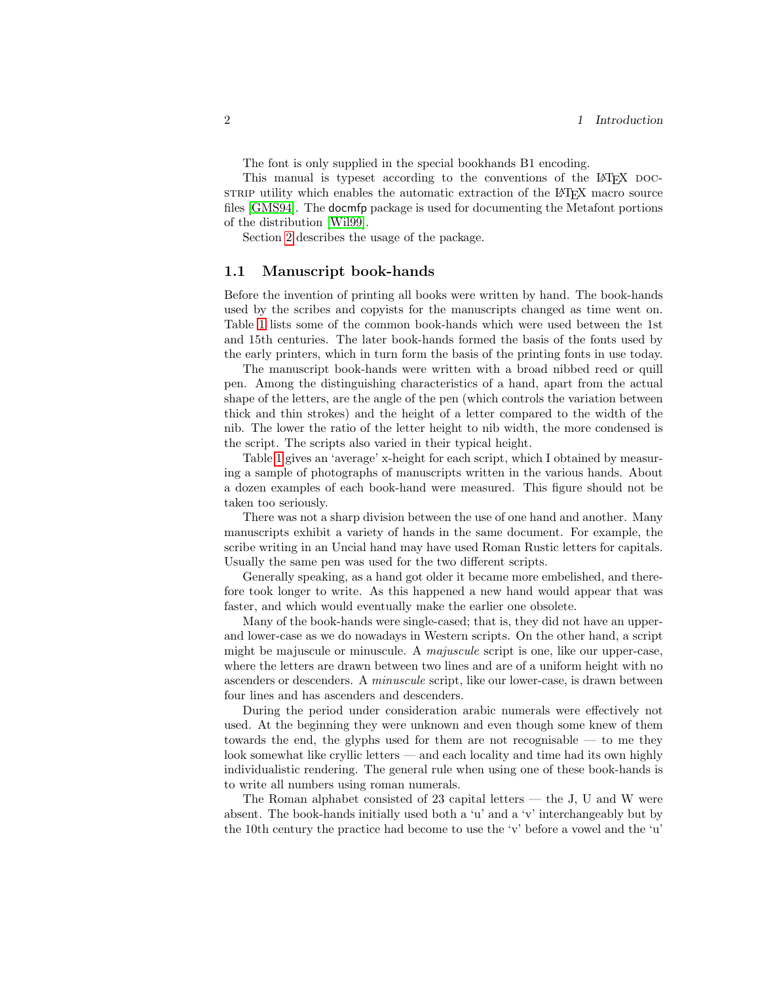The font is only supplied in the special bookhands B1 encoding.

This manual is typeset according to the conventions of the LAT<sub>EX</sub> DOCstrip utility which enables the automatic extraction of the LAT<sub>EX</sub> macro source files [\[GMS94\]](#page-4-2). The docmfp package is used for documenting the Metafont portions of the distribution [\[Wil99\]](#page-5-0).

Section [2](#page-3-0) describes the usage of the package.

### <span id="page-1-0"></span>1.1 Manuscript book-hands

Before the invention of printing all books were written by hand. The book-hands used by the scribes and copyists for the manuscripts changed as time went on. Table [1](#page-2-1) lists some of the common book-hands which were used between the 1st and 15th centuries. The later book-hands formed the basis of the fonts used by the early printers, which in turn form the basis of the printing fonts in use today.

The manuscript book-hands were written with a broad nibbed reed or quill pen. Among the distinguishing characteristics of a hand, apart from the actual shape of the letters, are the angle of the pen (which controls the variation between thick and thin strokes) and the height of a letter compared to the width of the nib. The lower the ratio of the letter height to nib width, the more condensed is the script. The scripts also varied in their typical height.

Table [1](#page-2-1) gives an 'average' x-height for each script, which I obtained by measuring a sample of photographs of manuscripts written in the various hands. About a dozen examples of each book-hand were measured. This figure should not be taken too seriously.

There was not a sharp division between the use of one hand and another. Many manuscripts exhibit a variety of hands in the same document. For example, the scribe writing in an Uncial hand may have used Roman Rustic letters for capitals. Usually the same pen was used for the two different scripts.

Generally speaking, as a hand got older it became more embelished, and therefore took longer to write. As this happened a new hand would appear that was faster, and which would eventually make the earlier one obsolete.

Many of the book-hands were single-cased; that is, they did not have an upperand lower-case as we do nowadays in Western scripts. On the other hand, a script might be majuscule or minuscule. A majuscule script is one, like our upper-case, where the letters are drawn between two lines and are of a uniform height with no ascenders or descenders. A minuscule script, like our lower-case, is drawn between four lines and has ascenders and descenders.

During the period under consideration arabic numerals were effectively not used. At the beginning they were unknown and even though some knew of them towards the end, the glyphs used for them are not recognisable — to me they look somewhat like cryllic letters — and each locality and time had its own highly individualistic rendering. The general rule when using one of these book-hands is to write all numbers using roman numerals.

The Roman alphabet consisted of  $23$  capital letters  $-$  the J, U and W were absent. The book-hands initially used both a 'u' and a 'v' interchangeably but by the 10th century the practice had become to use the 'v' before a vowel and the 'u'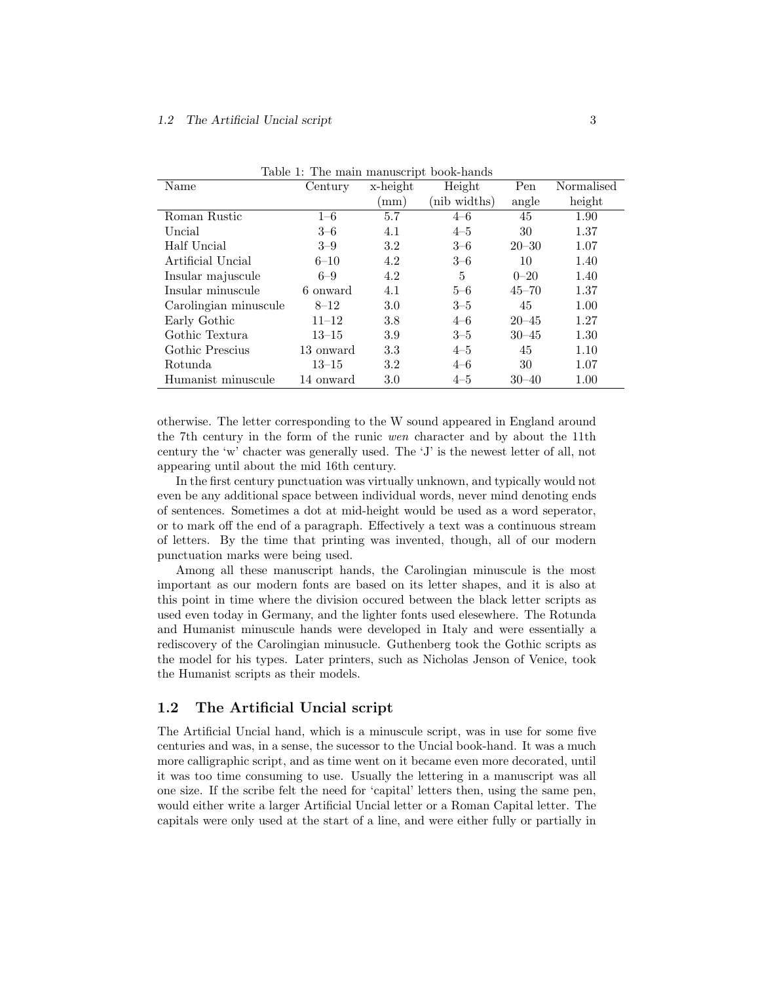| Name                  | Century   | x-height | Height       | Pen       | Normalised |
|-----------------------|-----------|----------|--------------|-----------|------------|
|                       |           | mm)      | (nib widths) | angle     | height     |
| Roman Rustic          | $1 - 6$   | 5.7      | $4 - 6$      | 45        | 1.90       |
| Uncial                | $3 - 6$   | 4.1      | $4 - 5$      | 30        | 1.37       |
| Half Uncial           | $3 - 9$   | 3.2      | $3 - 6$      | $20 - 30$ | 1.07       |
| Artificial Uncial     | $6 - 10$  | 4.2      | $3 - 6$      | 10        | 1.40       |
| Insular majuscule     | $6 - 9$   | 4.2      | 5            | $0 - 20$  | 1.40       |
| Insular minuscule     | 6 onward  | 4.1      | $5 - 6$      | $45 - 70$ | 1.37       |
| Carolingian minuscule | $8 - 12$  | 3.0      | $3 - 5$      | 45        | 1.00       |
| Early Gothic          | $11 - 12$ | 3.8      | $4 - 6$      | $20 - 45$ | 1.27       |
| Gothic Textura        | $13 - 15$ | 3.9      | $3 - 5$      | $30 - 45$ | 1.30       |
| Gothic Prescius       | 13 onward | 3.3      | $4 - 5$      | 45        | 1.10       |
| Rotunda               | $13 - 15$ | 3.2      | $4 - 6$      | 30        | 1.07       |
| Humanist minuscule    | 14 onward | 3.0      | $4 - 5$      | $30 - 40$ | 1.00       |

<span id="page-2-1"></span>Table 1: The main manuscript book-hands

otherwise. The letter corresponding to the W sound appeared in England around the 7th century in the form of the runic wen character and by about the 11th century the 'w' chacter was generally used. The 'J' is the newest letter of all, not appearing until about the mid 16th century.

In the first century punctuation was virtually unknown, and typically would not even be any additional space between individual words, never mind denoting ends of sentences. Sometimes a dot at mid-height would be used as a word seperator, or to mark off the end of a paragraph. Effectively a text was a continuous stream of letters. By the time that printing was invented, though, all of our modern punctuation marks were being used.

Among all these manuscript hands, the Carolingian minuscule is the most important as our modern fonts are based on its letter shapes, and it is also at this point in time where the division occured between the black letter scripts as used even today in Germany, and the lighter fonts used elesewhere. The Rotunda and Humanist minuscule hands were developed in Italy and were essentially a rediscovery of the Carolingian minusucle. Guthenberg took the Gothic scripts as the model for his types. Later printers, such as Nicholas Jenson of Venice, took the Humanist scripts as their models.

### <span id="page-2-0"></span>1.2 The Artificial Uncial script

The Artificial Uncial hand, which is a minuscule script, was in use for some five centuries and was, in a sense, the sucessor to the Uncial book-hand. It was a much more calligraphic script, and as time went on it became even more decorated, until it was too time consuming to use. Usually the lettering in a manuscript was all one size. If the scribe felt the need for 'capital' letters then, using the same pen, would either write a larger Artificial Uncial letter or a Roman Capital letter. The capitals were only used at the start of a line, and were either fully or partially in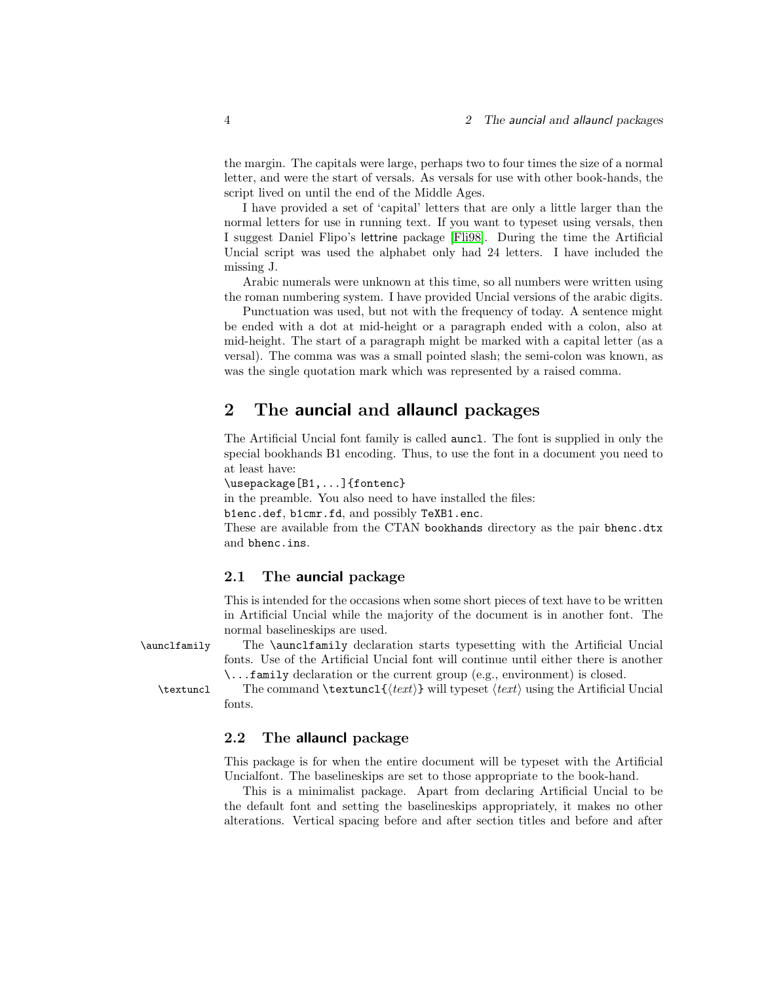the margin. The capitals were large, perhaps two to four times the size of a normal letter, and were the start of versals. As versals for use with other book-hands, the script lived on until the end of the Middle Ages.

I have provided a set of 'capital' letters that are only a little larger than the normal letters for use in running text. If you want to typeset using versals, then I suggest Daniel Flipo's lettrine package [\[Fli98\]](#page-4-3). During the time the Artificial Uncial script was used the alphabet only had 24 letters. I have included the missing J.

Arabic numerals were unknown at this time, so all numbers were written using the roman numbering system. I have provided Uncial versions of the arabic digits.

Punctuation was used, but not with the frequency of today. A sentence might be ended with a dot at mid-height or a paragraph ended with a colon, also at mid-height. The start of a paragraph might be marked with a capital letter (as a versal). The comma was was a small pointed slash; the semi-colon was known, as was the single quotation mark which was represented by a raised comma.

### <span id="page-3-0"></span>2 The auncial and allauncl packages

The Artificial Uncial font family is called auncl. The font is supplied in only the special bookhands B1 encoding. Thus, to use the font in a document you need to at least have:

\usepackage[B1,...]{fontenc}

in the preamble. You also need to have installed the files:

b1enc.def, b1cmr.fd, and possibly TeXB1.enc.

These are available from the CTAN bookhands directory as the pair bhenc.dtx and bhenc.ins.

### <span id="page-3-1"></span>2.1 The auncial package

This is intended for the occasions when some short pieces of text have to be written in Artificial Uncial while the majority of the document is in another font. The normal baselineskips are used.

\aunclfamily The \aunclfamily declaration starts typesetting with the Artificial Uncial fonts. Use of the Artificial Uncial font will continue until either there is another \...family declaration or the current group (e.g., environment) is closed.

 $\text{test}$  The command  $\text{test}$  will typeset  $\text{test}$  using the Artificial Uncial fonts.

#### <span id="page-3-2"></span>2.2 The allauncl package

This package is for when the entire document will be typeset with the Artificial Uncialfont. The baselineskips are set to those appropriate to the book-hand.

This is a minimalist package. Apart from declaring Artificial Uncial to be the default font and setting the baselineskips appropriately, it makes no other alterations. Vertical spacing before and after section titles and before and after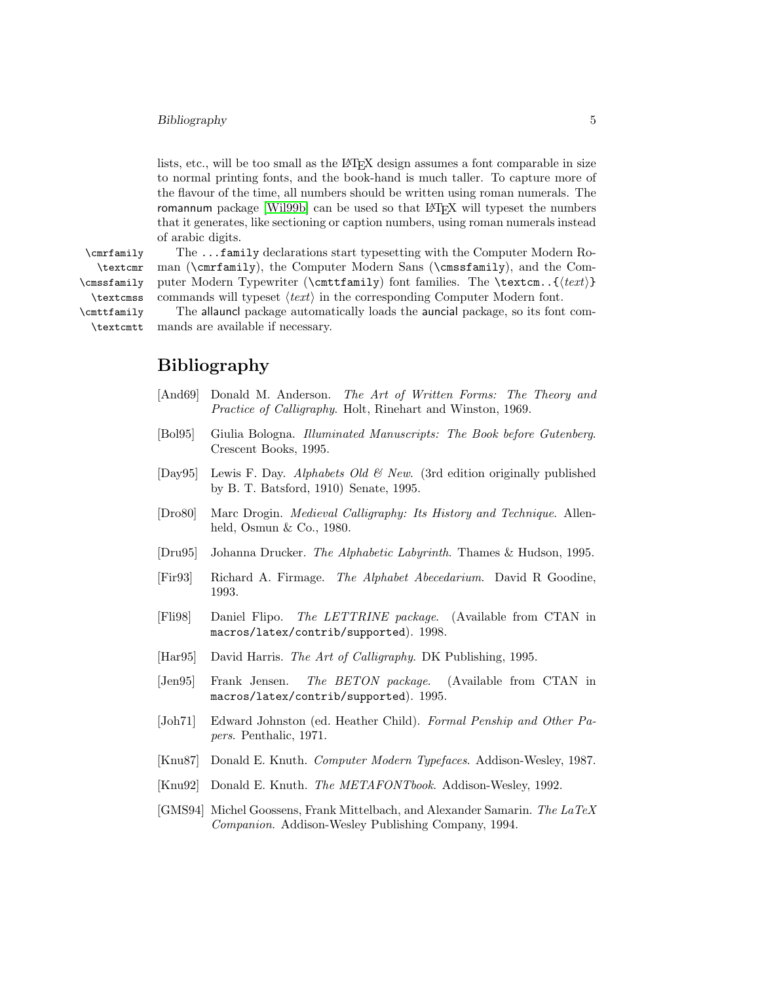#### Bibliography 5

lists, etc., will be too small as the LAT<sub>EX</sub> design assumes a font comparable in size to normal printing fonts, and the book-hand is much taller. To capture more of the flavour of the time, all numbers should be written using roman numerals. The romannum package [\[Wil99b\]](#page-5-1) can be used so that LAT<sub>EX</sub> will typeset the numbers that it generates, like sectioning or caption numbers, using roman numerals instead of arabic digits.

\textcmr \cmssfamily \textcmss \cmttfamily \textcmtt

\cmrfamily The ...family declarations start typesetting with the Computer Modern Ro man (\cmrfamily), the Computer Modern Sans (\cmssfamily), and the Computer Modern Typewriter (\cmttfamily) font families. The \textcm.. $\{(text)\}$ commands will typeset  $\langle text \rangle$  in the corresponding Computer Modern font.

The allauncl package automatically loads the auncial package, so its font commands are available if necessary.

### Bibliography

- <span id="page-4-0"></span>[And69] Donald M. Anderson. The Art of Written Forms: The Theory and Practice of Calligraphy. Holt, Rinehart and Winston, 1969.
- [Bol95] Giulia Bologna. Illuminated Manuscripts: The Book before Gutenberg. Crescent Books, 1995.
- [Day95] Lewis F. Day. Alphabets Old  $\mathcal B$  New. (3rd edition originally published by B. T. Batsford, 1910) Senate, 1995.
- [Dro80] Marc Drogin. Medieval Calligraphy: Its History and Technique. Allenheld, Osmun & Co., 1980.
- [Dru95] Johanna Drucker. The Alphabetic Labyrinth. Thames & Hudson, 1995.
- [Fir93] Richard A. Firmage. The Alphabet Abecedarium. David R Goodine, 1993.
- <span id="page-4-3"></span>[Fli98] Daniel Flipo. The LETTRINE package. (Available from CTAN in macros/latex/contrib/supported). 1998.
- [Har95] David Harris. The Art of Calligraphy. DK Publishing, 1995.
- [Jen95] Frank Jensen. The BETON package. (Available from CTAN in macros/latex/contrib/supported). 1995.
- [Joh71] Edward Johnston (ed. Heather Child). Formal Penship and Other Papers. Penthalic, 1971.
- [Knu87] Donald E. Knuth. Computer Modern Typefaces. Addison-Wesley, 1987.
- <span id="page-4-1"></span>[Knu92] Donald E. Knuth. The METAFONTbook. Addison-Wesley, 1992.
- <span id="page-4-2"></span>[GMS94] Michel Goossens, Frank Mittelbach, and Alexander Samarin. The LaTeX Companion. Addison-Wesley Publishing Company, 1994.